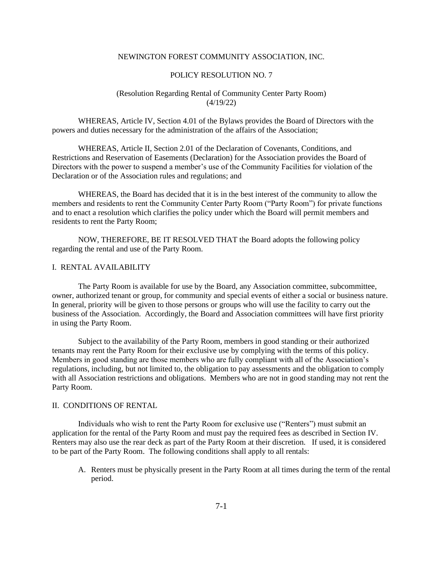#### NEWINGTON FOREST COMMUNITY ASSOCIATION, INC.

#### POLICY RESOLUTION NO. 7

# (Resolution Regarding Rental of Community Center Party Room) (4/19/22)

WHEREAS, Article IV, Section 4.01 of the Bylaws provides the Board of Directors with the powers and duties necessary for the administration of the affairs of the Association;

WHEREAS, Article II, Section 2.01 of the Declaration of Covenants, Conditions, and Restrictions and Reservation of Easements (Declaration) for the Association provides the Board of Directors with the power to suspend a member's use of the Community Facilities for violation of the Declaration or of the Association rules and regulations; and

WHEREAS, the Board has decided that it is in the best interest of the community to allow the members and residents to rent the Community Center Party Room ("Party Room") for private functions and to enact a resolution which clarifies the policy under which the Board will permit members and residents to rent the Party Room;

NOW, THEREFORE, BE IT RESOLVED THAT the Board adopts the following policy regarding the rental and use of the Party Room.

# I. RENTAL AVAILABILITY

The Party Room is available for use by the Board, any Association committee, subcommittee, owner, authorized tenant or group, for community and special events of either a social or business nature. In general, priority will be given to those persons or groups who will use the facility to carry out the business of the Association. Accordingly, the Board and Association committees will have first priority in using the Party Room.

Subject to the availability of the Party Room, members in good standing or their authorized tenants may rent the Party Room for their exclusive use by complying with the terms of this policy. Members in good standing are those members who are fully compliant with all of the Association's regulations, including, but not limited to, the obligation to pay assessments and the obligation to comply with all Association restrictions and obligations. Members who are not in good standing may not rent the Party Room.

# II. CONDITIONS OF RENTAL

Individuals who wish to rent the Party Room for exclusive use ("Renters") must submit an application for the rental of the Party Room and must pay the required fees as described in Section IV. Renters may also use the rear deck as part of the Party Room at their discretion. If used, it is considered to be part of the Party Room. The following conditions shall apply to all rentals:

A. Renters must be physically present in the Party Room at all times during the term of the rental period.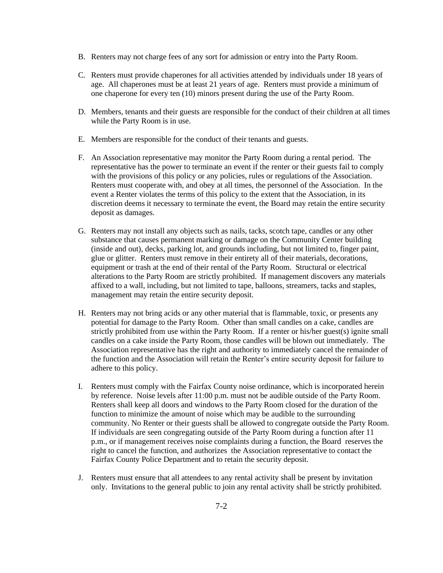- B. Renters may not charge fees of any sort for admission or entry into the Party Room.
- C. Renters must provide chaperones for all activities attended by individuals under 18 years of age. All chaperones must be at least 21 years of age. Renters must provide a minimum of one chaperone for every ten (10) minors present during the use of the Party Room.
- D. Members, tenants and their guests are responsible for the conduct of their children at all times while the Party Room is in use.
- E. Members are responsible for the conduct of their tenants and guests.
- F. An Association representative may monitor the Party Room during a rental period. The representative has the power to terminate an event if the renter or their guests fail to comply with the provisions of this policy or any policies, rules or regulations of the Association. Renters must cooperate with, and obey at all times, the personnel of the Association. In the event a Renter violates the terms of this policy to the extent that the Association, in its discretion deems it necessary to terminate the event, the Board may retain the entire security deposit as damages.
- G. Renters may not install any objects such as nails, tacks, scotch tape, candles or any other substance that causes permanent marking or damage on the Community Center building (inside and out), decks, parking lot, and grounds including, but not limited to, finger paint, glue or glitter. Renters must remove in their entirety all of their materials, decorations, equipment or trash at the end of their rental of the Party Room. Structural or electrical alterations to the Party Room are strictly prohibited. If management discovers any materials affixed to a wall, including, but not limited to tape, balloons, streamers, tacks and staples, management may retain the entire security deposit.
- H. Renters may not bring acids or any other material that is flammable, toxic, or presents any potential for damage to the Party Room. Other than small candles on a cake, candles are strictly prohibited from use within the Party Room. If a renter or his/her guest(s) ignite small candles on a cake inside the Party Room, those candles will be blown out immediately. The Association representative has the right and authority to immediately cancel the remainder of the function and the Association will retain the Renter's entire security deposit for failure to adhere to this policy.
- I. Renters must comply with the Fairfax County noise ordinance, which is incorporated herein by reference. Noise levels after 11:00 p.m. must not be audible outside of the Party Room. Renters shall keep all doors and windows to the Party Room closed for the duration of the function to minimize the amount of noise which may be audible to the surrounding community. No Renter or their guests shall be allowed to congregate outside the Party Room. If individuals are seen congregating outside of the Party Room during a function after 11 p.m., or if management receives noise complaints during a function, the Board reserves the right to cancel the function, and authorizes the Association representative to contact the Fairfax County Police Department and to retain the security deposit.
- J. Renters must ensure that all attendees to any rental activity shall be present by invitation only. Invitations to the general public to join any rental activity shall be strictly prohibited.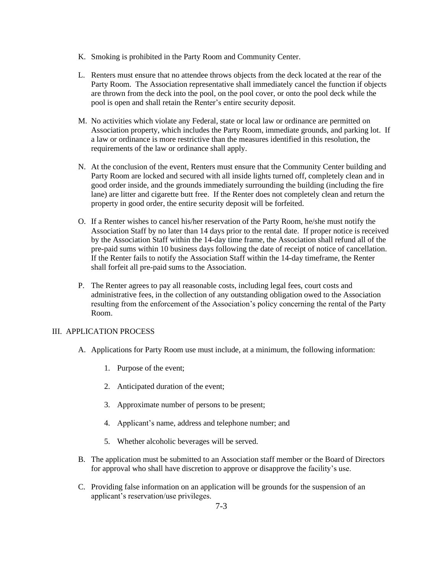- K. Smoking is prohibited in the Party Room and Community Center.
- L. Renters must ensure that no attendee throws objects from the deck located at the rear of the Party Room. The Association representative shall immediately cancel the function if objects are thrown from the deck into the pool, on the pool cover, or onto the pool deck while the pool is open and shall retain the Renter's entire security deposit.
- M. No activities which violate any Federal, state or local law or ordinance are permitted on Association property, which includes the Party Room, immediate grounds, and parking lot. If a law or ordinance is more restrictive than the measures identified in this resolution, the requirements of the law or ordinance shall apply.
- N. At the conclusion of the event, Renters must ensure that the Community Center building and Party Room are locked and secured with all inside lights turned off, completely clean and in good order inside, and the grounds immediately surrounding the building (including the fire lane) are litter and cigarette butt free. If the Renter does not completely clean and return the property in good order, the entire security deposit will be forfeited.
- O. If a Renter wishes to cancel his/her reservation of the Party Room, he/she must notify the Association Staff by no later than 14 days prior to the rental date. If proper notice is received by the Association Staff within the 14-day time frame, the Association shall refund all of the pre-paid sums within 10 business days following the date of receipt of notice of cancellation. If the Renter fails to notify the Association Staff within the 14-day timeframe, the Renter shall forfeit all pre-paid sums to the Association.
- P. The Renter agrees to pay all reasonable costs, including legal fees, court costs and administrative fees, in the collection of any outstanding obligation owed to the Association resulting from the enforcement of the Association's policy concerning the rental of the Party Room.

### III. APPLICATION PROCESS

- A. Applications for Party Room use must include, at a minimum, the following information:
	- 1. Purpose of the event;
	- 2. Anticipated duration of the event;
	- 3. Approximate number of persons to be present;
	- 4. Applicant's name, address and telephone number; and
	- 5. Whether alcoholic beverages will be served.
- B. The application must be submitted to an Association staff member or the Board of Directors for approval who shall have discretion to approve or disapprove the facility's use.
- C. Providing false information on an application will be grounds for the suspension of an applicant's reservation/use privileges.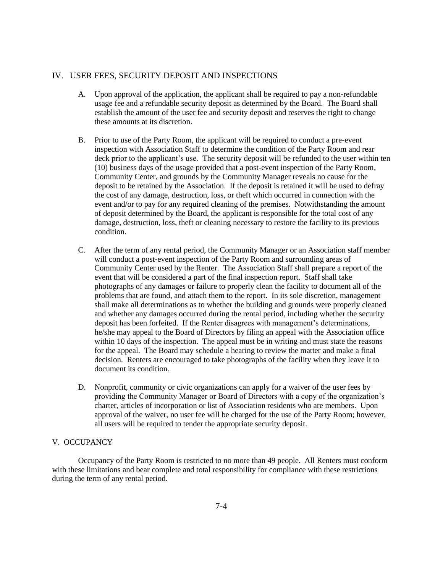# IV. USER FEES, SECURITY DEPOSIT AND INSPECTIONS

- A. Upon approval of the application, the applicant shall be required to pay a non-refundable usage fee and a refundable security deposit as determined by the Board. The Board shall establish the amount of the user fee and security deposit and reserves the right to change these amounts at its discretion.
- B. Prior to use of the Party Room, the applicant will be required to conduct a pre-event inspection with Association Staff to determine the condition of the Party Room and rear deck prior to the applicant's use. The security deposit will be refunded to the user within ten (10) business days of the usage provided that a post-event inspection of the Party Room, Community Center, and grounds by the Community Manager reveals no cause for the deposit to be retained by the Association. If the deposit is retained it will be used to defray the cost of any damage, destruction, loss, or theft which occurred in connection with the event and/or to pay for any required cleaning of the premises. Notwithstanding the amount of deposit determined by the Board, the applicant is responsible for the total cost of any damage, destruction, loss, theft or cleaning necessary to restore the facility to its previous condition.
- C. After the term of any rental period, the Community Manager or an Association staff member will conduct a post-event inspection of the Party Room and surrounding areas of Community Center used by the Renter. The Association Staff shall prepare a report of the event that will be considered a part of the final inspection report. Staff shall take photographs of any damages or failure to properly clean the facility to document all of the problems that are found, and attach them to the report. In its sole discretion, management shall make all determinations as to whether the building and grounds were properly cleaned and whether any damages occurred during the rental period, including whether the security deposit has been forfeited. If the Renter disagrees with management's determinations, he/she may appeal to the Board of Directors by filing an appeal with the Association office within 10 days of the inspection. The appeal must be in writing and must state the reasons for the appeal. The Board may schedule a hearing to review the matter and make a final decision. Renters are encouraged to take photographs of the facility when they leave it to document its condition.
- D. Nonprofit, community or civic organizations can apply for a waiver of the user fees by providing the Community Manager or Board of Directors with a copy of the organization's charter, articles of incorporation or list of Association residents who are members. Upon approval of the waiver, no user fee will be charged for the use of the Party Room; however, all users will be required to tender the appropriate security deposit.

# V. OCCUPANCY

Occupancy of the Party Room is restricted to no more than 49 people. All Renters must conform with these limitations and bear complete and total responsibility for compliance with these restrictions during the term of any rental period.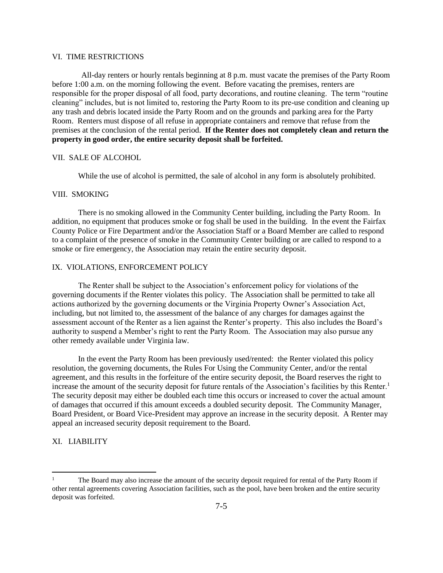#### VI. TIME RESTRICTIONS

All-day renters or hourly rentals beginning at 8 p.m. must vacate the premises of the Party Room before 1:00 a.m. on the morning following the event. Before vacating the premises, renters are responsible for the proper disposal of all food, party decorations, and routine cleaning. The term "routine cleaning" includes, but is not limited to, restoring the Party Room to its pre-use condition and cleaning up any trash and debris located inside the Party Room and on the grounds and parking area for the Party Room. Renters must dispose of all refuse in appropriate containers and remove that refuse from the premises at the conclusion of the rental period. **If the Renter does not completely clean and return the property in good order, the entire security deposit shall be forfeited.**

# VII. SALE OF ALCOHOL

While the use of alcohol is permitted, the sale of alcohol in any form is absolutely prohibited.

#### VIII. SMOKING

There is no smoking allowed in the Community Center building, including the Party Room. In addition, no equipment that produces smoke or fog shall be used in the building. In the event the Fairfax County Police or Fire Department and/or the Association Staff or a Board Member are called to respond to a complaint of the presence of smoke in the Community Center building or are called to respond to a smoke or fire emergency, the Association may retain the entire security deposit.

# IX. VIOLATIONS, ENFORCEMENT POLICY

The Renter shall be subject to the Association's enforcement policy for violations of the governing documents if the Renter violates this policy. The Association shall be permitted to take all actions authorized by the governing documents or the Virginia Property Owner's Association Act, including, but not limited to, the assessment of the balance of any charges for damages against the assessment account of the Renter as a lien against the Renter's property. This also includes the Board's authority to suspend a Member's right to rent the Party Room. The Association may also pursue any other remedy available under Virginia law.

In the event the Party Room has been previously used/rented: the Renter violated this policy resolution, the governing documents, the Rules For Using the Community Center, and/or the rental agreement, and this results in the forfeiture of the entire security deposit, the Board reserves the right to increase the amount of the security deposit for future rentals of the Association's facilities by this Renter.<sup>1</sup> The security deposit may either be doubled each time this occurs or increased to cover the actual amount of damages that occurred if this amount exceeds a doubled security deposit. The Community Manager, Board President, or Board Vice-President may approve an increase in the security deposit. A Renter may appeal an increased security deposit requirement to the Board.

# XI. LIABILITY

The Board may also increase the amount of the security deposit required for rental of the Party Room if other rental agreements covering Association facilities, such as the pool, have been broken and the entire security deposit was forfeited.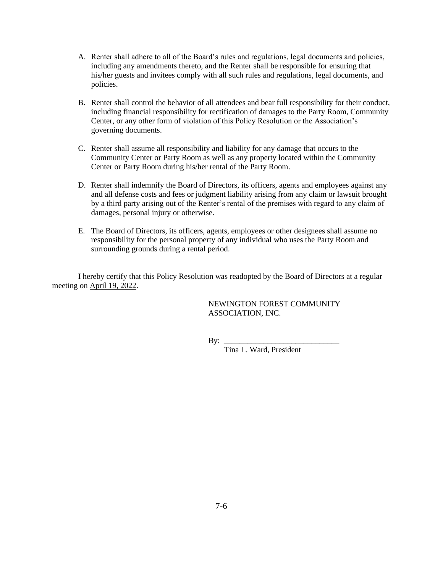- A. Renter shall adhere to all of the Board's rules and regulations, legal documents and policies, including any amendments thereto, and the Renter shall be responsible for ensuring that his/her guests and invitees comply with all such rules and regulations, legal documents, and policies.
- B. Renter shall control the behavior of all attendees and bear full responsibility for their conduct, including financial responsibility for rectification of damages to the Party Room, Community Center, or any other form of violation of this Policy Resolution or the Association's governing documents.
- C. Renter shall assume all responsibility and liability for any damage that occurs to the Community Center or Party Room as well as any property located within the Community Center or Party Room during his/her rental of the Party Room.
- D. Renter shall indemnify the Board of Directors, its officers, agents and employees against any and all defense costs and fees or judgment liability arising from any claim or lawsuit brought by a third party arising out of the Renter's rental of the premises with regard to any claim of damages, personal injury or otherwise.
- E. The Board of Directors, its officers, agents, employees or other designees shall assume no responsibility for the personal property of any individual who uses the Party Room and surrounding grounds during a rental period.

I hereby certify that this Policy Resolution was readopted by the Board of Directors at a regular meeting on April 19, 2022.

> NEWINGTON FOREST COMMUNITY ASSOCIATION, INC.

By: \_\_\_\_\_\_\_\_\_\_\_\_\_\_\_\_\_\_\_\_\_\_\_\_\_\_\_\_\_

Tina L. Ward, President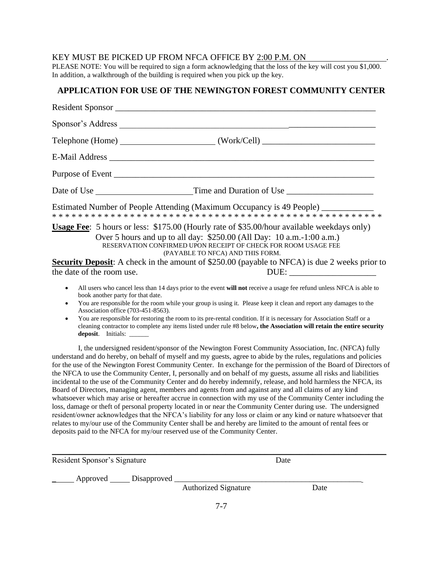# KEY MUST BE PICKED UP FROM NFCA OFFICE BY 2:00 P.M. ON

PLEASE NOTE: You will be required to sign a form acknowledging that the loss of the key will cost you \$1,000. In addition, a walkthrough of the building is required when you pick up the key.

# **APPLICATION FOR USE OF THE NEWINGTON FOREST COMMUNITY CENTER**

|                                                                                                                                             | Estimated Number of People Attending (Maximum Occupancy is 49 People) __________                                                                                                                                                                                                                                                                                                                                                                                                                                                                                                                                                                                                                                                                                                                                                                                                                                                                                                                                                                                                                                                                                                                                                                         |
|---------------------------------------------------------------------------------------------------------------------------------------------|----------------------------------------------------------------------------------------------------------------------------------------------------------------------------------------------------------------------------------------------------------------------------------------------------------------------------------------------------------------------------------------------------------------------------------------------------------------------------------------------------------------------------------------------------------------------------------------------------------------------------------------------------------------------------------------------------------------------------------------------------------------------------------------------------------------------------------------------------------------------------------------------------------------------------------------------------------------------------------------------------------------------------------------------------------------------------------------------------------------------------------------------------------------------------------------------------------------------------------------------------------|
|                                                                                                                                             | <b>Usage Fee:</b> 5 hours or less: \$175.00 (Hourly rate of \$35.00/hour available weekdays only)<br>Over 5 hours and up to all day: \$250.00 (All Day: 10 a.m.-1:00 a.m.)<br>RESERVATION CONFIRMED UPON RECEIPT OF CHECK FOR ROOM USAGE FEE<br>(PAYABLE TO NFCA) AND THIS FORM.<br><b>Security Deposit:</b> A check in the amount of \$250.00 (payable to NFCA) is due 2 weeks prior to                                                                                                                                                                                                                                                                                                                                                                                                                                                                                                                                                                                                                                                                                                                                                                                                                                                                 |
| the date of the room use.                                                                                                                   |                                                                                                                                                                                                                                                                                                                                                                                                                                                                                                                                                                                                                                                                                                                                                                                                                                                                                                                                                                                                                                                                                                                                                                                                                                                          |
| $\bullet$<br>book another party for that date.<br>$\bullet$<br>Association office (703-451-8563).<br>$\bullet$<br>deposit. Initials: ______ | All users who cancel less than 14 days prior to the event will not receive a usage fee refund unless NFCA is able to<br>You are responsible for the room while your group is using it. Please keep it clean and report any damages to the<br>You are responsible for restoring the room to its pre-rental condition. If it is necessary for Association Staff or a<br>cleaning contractor to complete any items listed under rule #8 below, the Association will retain the entire security                                                                                                                                                                                                                                                                                                                                                                                                                                                                                                                                                                                                                                                                                                                                                              |
|                                                                                                                                             | I, the undersigned resident/sponsor of the Newington Forest Community Association, Inc. (NFCA) fully<br>understand and do hereby, on behalf of myself and my guests, agree to abide by the rules, regulations and policies<br>for the use of the Newington Forest Community Center. In exchange for the permission of the Board of Directors of<br>the NFCA to use the Community Center, I, personally and on behalf of my guests, assume all risks and liabilities<br>incidental to the use of the Community Center and do hereby indemnify, release, and hold harmless the NFCA, its<br>Board of Directors, managing agent, members and agents from and against any and all claims of any kind<br>whatsoever which may arise or hereafter accrue in connection with my use of the Community Center including the<br>loss, damage or theft of personal property located in or near the Community Center during use. The undersigned<br>resident/owner acknowledges that the NFCA's liability for any loss or claim or any kind or nature whatsoever that<br>relates to my/our use of the Community Center shall be and hereby are limited to the amount of rental fees or<br>deposits paid to the NFCA for my/our reserved use of the Community Center. |

| Resident Sponsor's Signature          |                             | Date |      |  |
|---------------------------------------|-----------------------------|------|------|--|
| ______ Approved ______ Disapproved __ | <b>Authorized Signature</b> |      | Date |  |
|                                       | $\mathbf{H}$                |      |      |  |